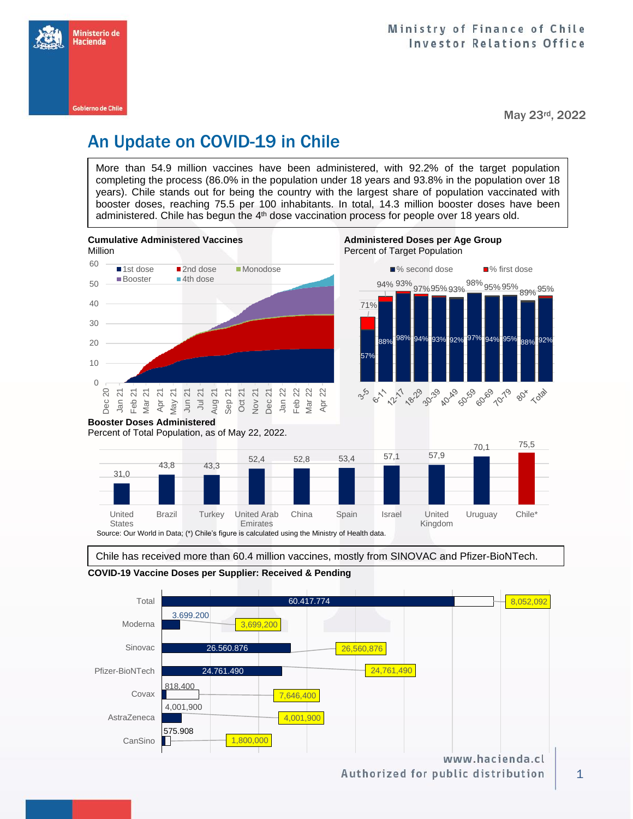

May 23rd, 2022

# An Update on COVID-19 in Chile

More than 54.9 million vaccines have been administered, with 92.2% of the target population completing the process (86.0% in the population under 18 years and 93.8% in the population over 18 years). Chile stands out for being the country with the largest share of population vaccinated with booster doses, reaching 75.5 per 100 inhabitants. In total, 14.3 million booster doses have been administered. Chile has begun the 4<sup>th</sup> dose vaccination process for people over 18 years old.



**States** Emirates Source: Our World in Data; (\*) Chile's figure is calculated using the Ministry of Health data.

Chile has received more than 60.4 million vaccines, mostly from SINOVAC and Pfizer-BioNTech.

China Spain Israel United



**COVID-19 Vaccine Doses per Supplier: Received & Pending**

Brazil Turkey United Arab

United

Authorized for public distribution

Kingdom

Uruguay Chile<sup>\*</sup>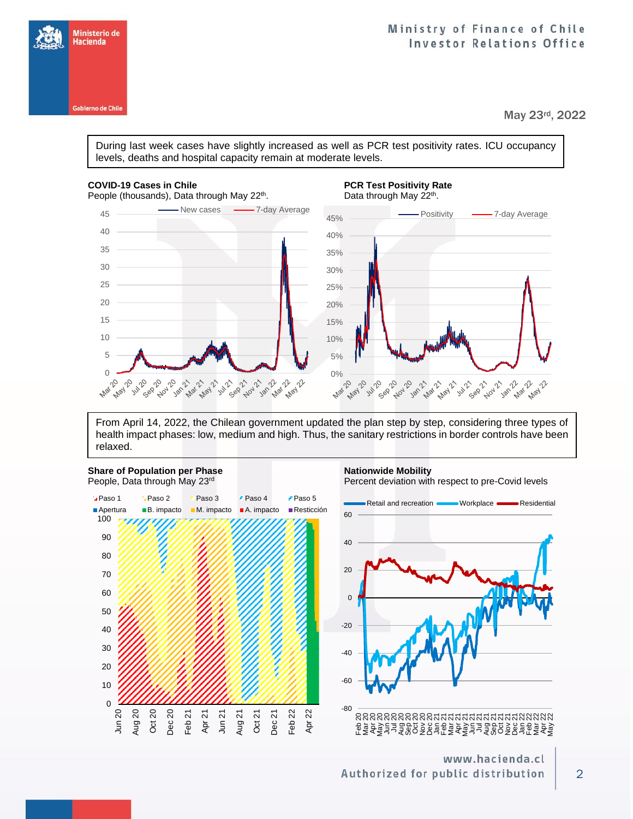### Ministry of Finance of Chile **Investor Relations Office**

May 23rd, 2022

During last week cases have slightly increased as well as PCR test positivity rates. ICU occupancy levels, deaths and hospital capacity remain at moderate levels.

### **COVID-19 Cases in Chile PCR Test Positivity Rate PCR Test Positivity Rate**

Ministerio de Hacienda

Gobierno de Chile



From April 14, 2022, the Chilean government updated the plan step by step, considering three types of health impact phases: low, medium and high. Thus, the sanitary restrictions in border controls have been relaxed.

## **Share of Population per Phase <b>National Share of Population per Phase Nationwide Mobility**

People, Data through May 23<sup>rd</sup> Percent deviation with respect to pre-Covid levels



www.hacienda.cl Authorized for public distribution